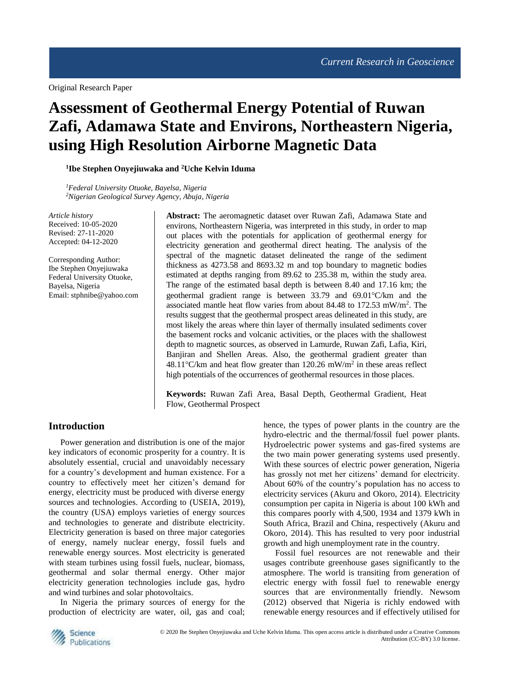Original Research Paper

# **Assessment of Geothermal Energy Potential of Ruwan Zafi, Adamawa State and Environs, Northeastern Nigeria, using High Resolution Airborne Magnetic Data**

**1 Ibe Stephen Onyejiuwaka and <sup>2</sup>Uche Kelvin Iduma**

*<sup>1</sup>Federal University Otuoke, Bayelsa, Nigeria <sup>2</sup>Nigerian Geological Survey Agency, Abuja, Nigeria*

*Article history* Received: 10-05-2020 Revised: 27-11-2020 Accepted: 04-12-2020

Corresponding Author: Ibe Stephen Onyejiuwaka Federal University Otuoke, Bayelsa, Nigeria Email: [stphnibe@yahoo.com](mailto:stphnibe@yahoo.com)

**Abstract:** The aeromagnetic dataset over Ruwan Zafi, Adamawa State and environs, Northeastern Nigeria, was interpreted in this study, in order to map out places with the potentials for application of geothermal energy for electricity generation and geothermal direct heating. The analysis of the spectral of the magnetic dataset delineated the range of the sediment thickness as 4273.58 and 8693.32 m and top boundary to magnetic bodies estimated at depths ranging from 89.62 to 235.38 m, within the study area. The range of the estimated basal depth is between 8.40 and 17.16 km; the geothermal gradient range is between  $33.79$  and  $69.01^{\circ}$ C/km and the associated mantle heat flow varies from about 84.48 to 172.53 mW/m<sup>2</sup>. The results suggest that the geothermal prospect areas delineated in this study, are most likely the areas where thin layer of thermally insulated sediments cover the basement rocks and volcanic activities, or the places with the shallowest depth to magnetic sources, as observed in Lamurde, Ruwan Zafi, Lafia, Kiri, Banjiran and Shellen Areas. Also, the geothermal gradient greater than 48.11°C/km and heat flow greater than 120.26 mW/m<sup>2</sup> in these areas reflect high potentials of the occurrences of geothermal resources in those places.

**Keywords:** Ruwan Zafi Area, Basal Depth, Geothermal Gradient, Heat Flow, Geothermal Prospect

### **Introduction**

Power generation and distribution is one of the major key indicators of economic prosperity for a country. It is absolutely essential, crucial and unavoidably necessary for a country's development and human existence. For a country to effectively meet her citizen's demand for energy, electricity must be produced with diverse energy sources and technologies. According to (USEIA, 2019), the country (USA) employs varieties of energy sources and technologies to generate and distribute electricity. Electricity generation is based on three major categories of energy, namely nuclear energy, fossil fuels and renewable energy sources. Most electricity is generated with steam turbines using fossil fuels, nuclear, biomass, geothermal and solar thermal energy. Other major electricity generation technologies include gas, hydro and wind turbines and solar photovoltaics.

In Nigeria the primary sources of energy for the production of electricity are water, oil, gas and coal; hence, the types of power plants in the country are the hydro-electric and the thermal/fossil fuel power plants. Hydroelectric power systems and gas-fired systems are the two main power generating systems used presently. With these sources of electric power generation, Nigeria has grossly not met her citizens' demand for electricity. About 60% of the country's population has no access to electricity services (Akuru and Okoro, 2014). Electricity consumption per capita in Nigeria is about 100 kWh and this compares poorly with 4,500, 1934 and 1379 kWh in South Africa, Brazil and China, respectively (Akuru and Okoro, 2014). This has resulted to very poor industrial growth and high unemployment rate in the country.

Fossil fuel resources are not renewable and their usages contribute greenhouse gases significantly to the atmosphere. The world is transiting from generation of electric energy with fossil fuel to renewable energy sources that are environmentally friendly. Newsom (2012) observed that Nigeria is richly endowed with renewable energy resources and if effectively utilised for

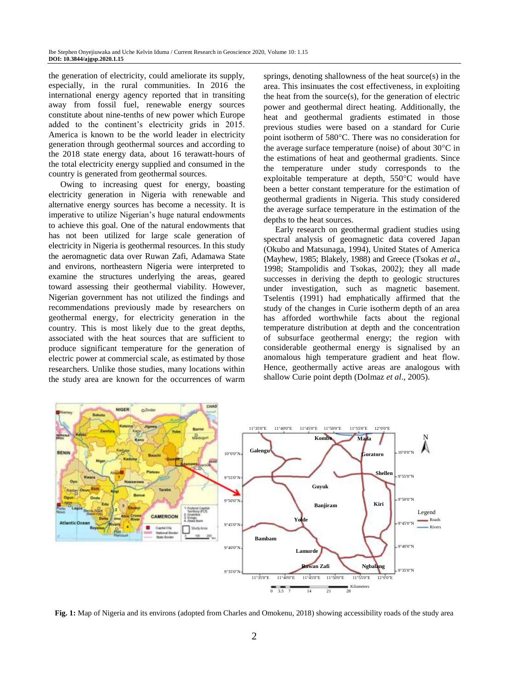the generation of electricity, could ameliorate its supply, especially, in the rural communities. In 2016 the international energy agency reported that in transiting away from fossil fuel, renewable energy sources constitute about nine-tenths of new power which Europe added to the continent's electricity grids in 2015. America is known to be the world leader in electricity generation through geothermal sources and according to the 2018 state energy data, about 16 terawatt-hours of the total electricity energy supplied and consumed in the country is generated from geothermal sources.

Owing to increasing quest for energy, boasting electricity generation in Nigeria with renewable and alternative energy sources has become a necessity. It is imperative to utilize Nigerian's huge natural endowments to achieve this goal. One of the natural endowments that has not been utilized for large scale generation of electricity in Nigeria is geothermal resources. In this study the aeromagnetic data over Ruwan Zafi, Adamawa State and environs, northeastern Nigeria were interpreted to examine the structures underlying the areas, geared toward assessing their geothermal viability. However, Nigerian government has not utilized the findings and recommendations previously made by researchers on geothermal energy, for electricity generation in the country. This is most likely due to the great depths, associated with the heat sources that are sufficient to produce significant temperature for the generation of electric power at commercial scale, as estimated by those researchers. Unlike those studies, many locations within the study area are known for the occurrences of warm

springs, denoting shallowness of the heat source(s) in the area. This insinuates the cost effectiveness, in exploiting the heat from the source(s), for the generation of electric power and geothermal direct heating. Additionally, the heat and geothermal gradients estimated in those previous studies were based on a standard for Curie point isotherm of 580°C. There was no consideration for the average surface temperature (noise) of about  $30^{\circ}$ C in the estimations of heat and geothermal gradients. Since the temperature under study corresponds to the exploitable temperature at depth,  $550^{\circ}$ C would have been a better constant temperature for the estimation of geothermal gradients in Nigeria. This study considered the average surface temperature in the estimation of the depths to the heat sources.

Early research on geothermal gradient studies using spectral analysis of geomagnetic data covered Japan (Okubo and Matsunaga, 1994), United States of America (Mayhew, 1985; Blakely, 1988) and Greece (Tsokas *et al*., 1998; Stampolidis and Tsokas, 2002); they all made successes in deriving the depth to geologic structures under investigation, such as magnetic basement. Tselentis (1991) had emphatically affirmed that the study of the changes in Curie isotherm depth of an area has afforded worthwhile facts about the regional temperature distribution at depth and the concentration of subsurface geothermal energy; the region with considerable geothermal energy is signalised by an anomalous high temperature gradient and heat flow. Hence, geothermally active areas are analogous with shallow Curie point depth (Dolmaz *et al*., 2005).



**Fig. 1:** Map of Nigeria and its environs (adopted from Charles and Omokenu, 2018) showing accessibility roads of the study area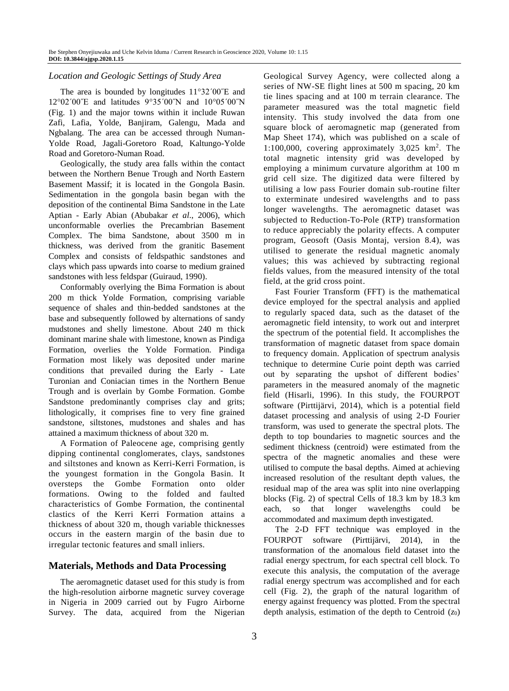## *Location and Geologic Settings of Study Area*

The area is bounded by longitudes  $11^{\circ}32'00''E$  and 12°02′00<sup>"</sup>E and latitudes 9°35′00"N and 10°05′00"N (Fig. 1) and the major towns within it include Ruwan Zafi, Lafia, Yolde, Banjiram, Galengu, Mada and Ngbalang. The area can be accessed through Numan-Yolde Road, Jagali-Goretoro Road, Kaltungo-Yolde Road and Goretoro-Numan Road.

Geologically, the study area falls within the contact between the Northern Benue Trough and North Eastern Basement Massif; it is located in the Gongola Basin. Sedimentation in the gongola basin began with the deposition of the continental Bima Sandstone in the Late Aptian - Early Abian (Abubakar *et al*., 2006), which unconformable overlies the Precambrian Basement Complex. The bima Sandstone, about 3500 m in thickness, was derived from the granitic Basement Complex and consists of feldspathic sandstones and clays which pass upwards into coarse to medium grained sandstones with less feldspar (Guiraud, 1990).

Conformably overlying the Bima Formation is about 200 m thick Yolde Formation, comprising variable sequence of shales and thin-bedded sandstones at the base and subsequently followed by alternations of sandy mudstones and shelly limestone. About 240 m thick dominant marine shale with limestone, known as Pindiga Formation, overlies the Yolde Formation. Pindiga Formation most likely was deposited under marine conditions that prevailed during the Early - Late Turonian and Coniacian times in the Northern Benue Trough and is overlain by Gombe Formation. Gombe Sandstone predominantly comprises clay and grits; lithologically, it comprises fine to very fine grained sandstone, siltstones, mudstones and shales and has attained a maximum thickness of about 320 m.

A Formation of Paleocene age, comprising gently dipping continental conglomerates, clays, sandstones and siltstones and known as Kerri-Kerri Formation, is the youngest formation in the Gongola Basin. It oversteps the Gombe Formation onto older formations. Owing to the folded and faulted characteristics of Gombe Formation, the continental clastics of the Kerri Kerri Formation attains a thickness of about 320 m, though variable thicknesses occurs in the eastern margin of the basin due to irregular tectonic features and small inliers.

# **Materials, Methods and Data Processing**

The aeromagnetic dataset used for this study is from the high-resolution airborne magnetic survey coverage in Nigeria in 2009 carried out by Fugro Airborne Survey. The data, acquired from the Nigerian Geological Survey Agency, were collected along a series of NW-SE flight lines at 500 m spacing, 20 km tie lines spacing and at 100 m terrain clearance. The parameter measured was the total magnetic field intensity. This study involved the data from one square block of aeromagnetic map (generated from Map Sheet 174), which was published on a scale of 1:100,000, covering approximately 3,025 km<sup>2</sup> . The total magnetic intensity grid was developed by employing a minimum curvature algorithm at 100 m grid cell size. The digitized data were filtered by utilising a low pass Fourier domain sub-routine filter to exterminate undesired wavelengths and to pass longer wavelengths. The aeromagnetic dataset was subjected to Reduction-To-Pole (RTP) transformation to reduce appreciably the polarity effects. A computer program, Geosoft (Oasis Montaj, version 8.4), was utilised to generate the residual magnetic anomaly values; this was achieved by subtracting regional fields values, from the measured intensity of the total field, at the grid cross point.

Fast Fourier Transform (FFT) is the mathematical device employed for the spectral analysis and applied to regularly spaced data, such as the dataset of the aeromagnetic field intensity, to work out and interpret the spectrum of the potential field. It accomplishes the transformation of magnetic dataset from space domain to frequency domain. Application of spectrum analysis technique to determine Curie point depth was carried out by separating the upshot of different bodies' parameters in the measured anomaly of the magnetic field (Hisarli, 1996). In this study, the FOURPOT software (Pirttijärvi, 2014), which is a potential field dataset processing and analysis of using 2-D Fourier transform, was used to generate the spectral plots. The depth to top boundaries to magnetic sources and the sediment thickness (centroid) were estimated from the spectra of the magnetic anomalies and these were utilised to compute the basal depths. Aimed at achieving increased resolution of the resultant depth values, the residual map of the area was split into nine overlapping blocks (Fig. 2) of spectral Cells of 18.3 km by 18.3 km each, so that longer wavelengths could be accommodated and maximum depth investigated.

The 2-D FFT technique was employed in the FOURPOT software (Pirttijärvi, 2014), in the transformation of the anomalous field dataset into the radial energy spectrum, for each spectral cell block. To execute this analysis, the computation of the average radial energy spectrum was accomplished and for each cell (Fig. 2), the graph of the natural logarithm of energy against frequency was plotted. From the spectral depth analysis, estimation of the depth to Centroid (*z*0)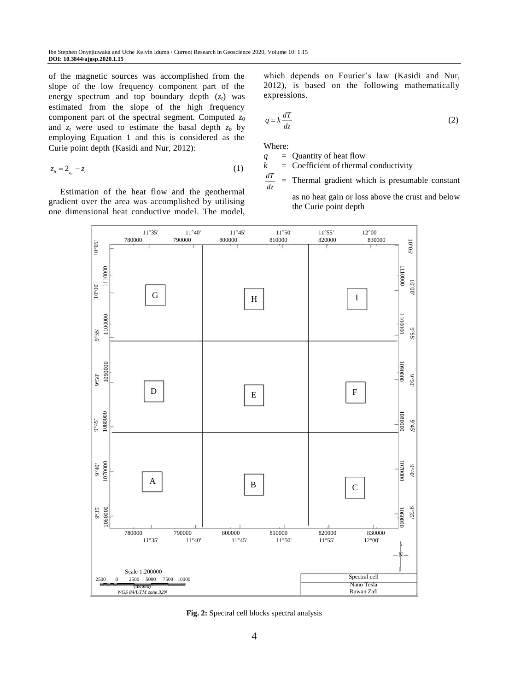of the magnetic sources was accomplished from the slope of the low frequency component part of the energy spectrum and top boundary depth (*zt*) was estimated from the slope of the high frequency component part of the spectral segment. Computed *z*<sup>0</sup> and  $z_t$  were used to estimate the basal depth  $z_b$  by employing Equation 1 and this is considered as the Curie point depth (Kasidi and Nur, 2012):

$$
z_b = 2_{z_0} - z_t \tag{1}
$$

Estimation of the heat flow and the geothermal gradient over the area was accomplished by utilising one dimensional heat conductive model. The model, which depends on Fourier's law (Kasidi and Nur, 2012), is based on the following mathematically expressions.

$$
q = k \frac{dT}{dz} \tag{2}
$$

Where:

*q* = Quantity of heat flow

 $k =$  Coefficient of thermal conductivity

*dT dz* = Thermal gradient which is presumable constant

as no heat gain or loss above the crust and below the Curie point depth



**Fig. 2:** Spectral cell blocks spectral analysis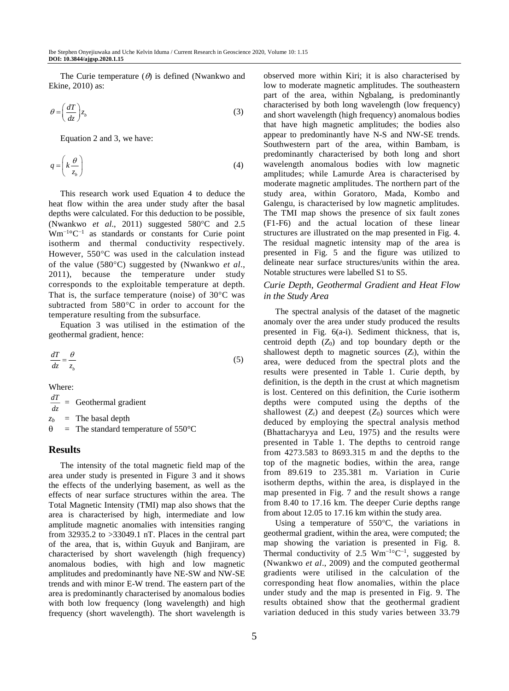The Curie temperature  $(\theta)$  is defined (Nwankwo and Ekine, 2010) as:

$$
\theta = \left(\frac{dT}{dz}\right) z_b \tag{3}
$$

Equation 2 and 3, we have:

$$
q = \left(k \frac{\theta}{z_b}\right) \tag{4}
$$

This research work used Equation 4 to deduce the heat flow within the area under study after the basal depths were calculated. For this deduction to be possible, (Nwankwo *et al.*, 2011) suggested 580°C and 2.5 Wm−1 °C−1 as standards or constants for Curie point isotherm and thermal conductivity respectively. However, 550°C was used in the calculation instead of the value (580°C) suggested by (Nwankwo *et al.*, 2011), because the temperature under study corresponds to the exploitable temperature at depth. That is, the surface temperature (noise) of  $30^{\circ}$ C was subtracted from  $580^{\circ}$ C in order to account for the temperature resulting from the subsurface.

Equation 3 was utilised in the estimation of the geothermal gradient, hence:

$$
\frac{dT}{dz} = \frac{\theta}{z_b} \tag{5}
$$

Where:

*dT*  $\frac{dI}{dz}$  = Geothermal gradient  $z_b$  = The basal depth  $\theta$  = The standard temperature of 550°C

## **Results**

The intensity of the total magnetic field map of the area under study is presented in Figure 3 and it shows the effects of the underlying basement, as well as the effects of near surface structures within the area. The Total Magnetic Intensity (TMI) map also shows that the area is characterised by high, intermediate and low amplitude magnetic anomalies with intensities ranging from 32935.2 to >33049.1 nT. Places in the central part of the area, that is, within Guyuk and Banjiram, are characterised by short wavelength (high frequency) anomalous bodies, with high and low magnetic amplitudes and predominantly have NE-SW and NW-SE trends and with minor E-W trend. The eastern part of the area is predominantly characterised by anomalous bodies with both low frequency (long wavelength) and high frequency (short wavelength). The short wavelength is observed more within Kiri; it is also characterised by low to moderate magnetic amplitudes. The southeastern part of the area, within Ngbalang, is predominantly characterised by both long wavelength (low frequency) and short wavelength (high frequency) anomalous bodies that have high magnetic amplitudes; the bodies also appear to predominantly have N-S and NW-SE trends. Southwestern part of the area, within Bambam, is predominantly characterised by both long and short wavelength anomalous bodies with low magnetic amplitudes; while Lamurde Area is characterised by moderate magnetic amplitudes. The northern part of the study area, within Goratoro, Mada, Kombo and Galengu, is characterised by low magnetic amplitudes. The TMI map shows the presence of six fault zones (F1-F6) and the actual location of these linear structures are illustrated on the map presented in Fig. 4. The residual magnetic intensity map of the area is presented in Fig. 5 and the figure was utilized to delineate near surface structures/units within the area. Notable structures were labelled S1 to S5.

### *Curie Depth, Geothermal Gradient and Heat Flow in the Study Area*

The spectral analysis of the dataset of the magnetic anomaly over the area under study produced the results presented in Fig. 6(a-i). Sediment thickness, that is, centroid depth  $(Z_0)$  and top boundary depth or the shallowest depth to magnetic sources  $(Z_t)$ , within the area, were deduced from the spectral plot*s* and the results were presented in Table 1. Curie depth, by definition, is the depth in the crust at which magnetism is lost. Centered on this definition, the Curie isotherm depths were computed using the depths of the shallowest  $(Z_t)$  and deepest  $(Z_0)$  sources which were deduced by employing the spectral analysis method (Bhattacharyya and Leu, 1975) and the results were presented in Table 1. The depths to centroid range from 4273.583 to 8693.315 m and the depths to the top of the magnetic bodies, within the area, range from 89.619 to 235.381 m. Variation in Curie isotherm depths, within the area, is displayed in the map presented in Fig. 7 and the result shows a range from 8.40 to 17.16 km. The deeper Curie depths range from about 12.05 to 17.16 km within the study area.

Using a temperature of  $550^{\circ}$ C, the variations in geothermal gradient, within the area, were computed; the map showing the variation is presented in Fig. 8. Thermal conductivity of 2.5  $Wm^{-1}$ <sup>o</sup>C<sup>-1</sup>, suggested by (Nwankwo *et al*., 2009) and the computed geothermal gradients were utilised in the calculation of the corresponding heat flow anomalies, within the place under study and the map is presented in Fig. 9. The results obtained show that the geothermal gradient variation deduced in this study varies between 33.79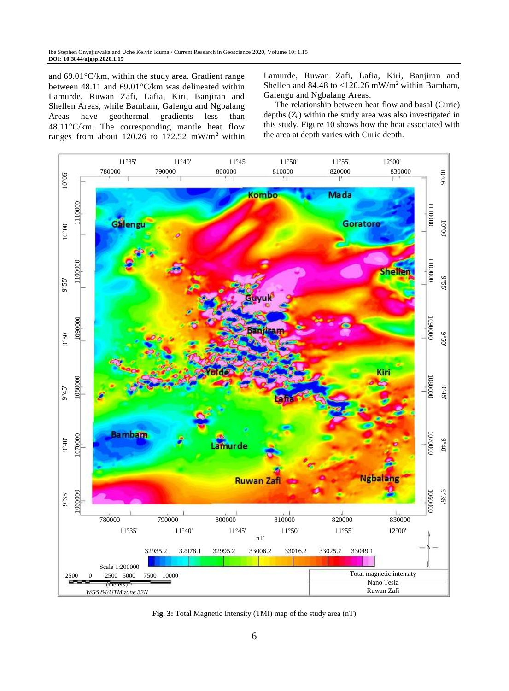and  $69.01^{\circ}$ C/km, within the study area. Gradient range between 48.11 and  $69.01^{\circ}$ C/km was delineated within Lamurde, Ruwan Zafi, Lafia, Kiri, Banjiran and Shellen Areas, while Bambam, Galengu and Ngbalang Areas have geothermal gradients less than  $48.11^{\circ}$ C/km. The corresponding mantle heat flow ranges from about 120.26 to 172.52 mW/m<sup>2</sup> within Lamurde, Ruwan Zafi, Lafia, Kiri, Banjiran and Shellen and 84.48 to  $\langle 120.26 \text{ mW/m}^2 \rangle$  within Bambam, Galengu and Ngbalang Areas.

The relationship between heat flow and basal (Curie) depths  $(Z_b)$  within the study area was also investigated in this study. Figure 10 shows how the heat associated with the area at depth varies with Curie depth.



**Fig. 3:** Total Magnetic Intensity (TMI) map of the study area (nT)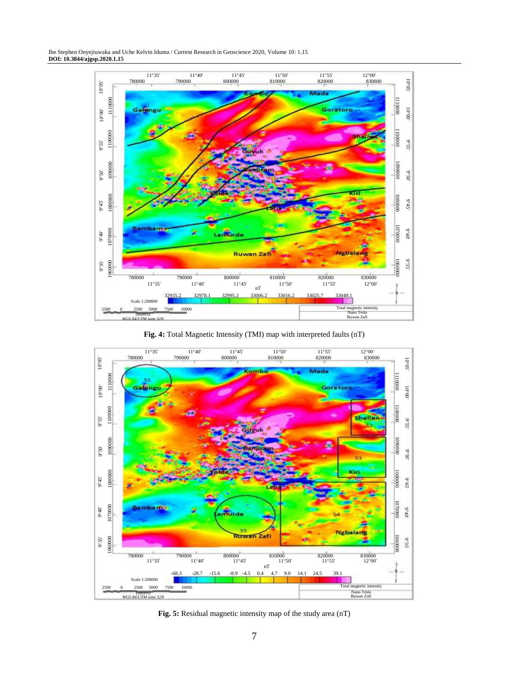Ibe Stephen Onyejiuwaka and Uche Kelvin Iduma / Current Research in Geoscience 2020, Volume 10: 1.15 **DOI: 10.3844/ajgsp.2020.1.15**



**Fig. 4:** Total Magnetic Intensity (TMI) map with interpreted faults (nT)



**Fig. 5:** Residual magnetic intensity map of the study area (nT)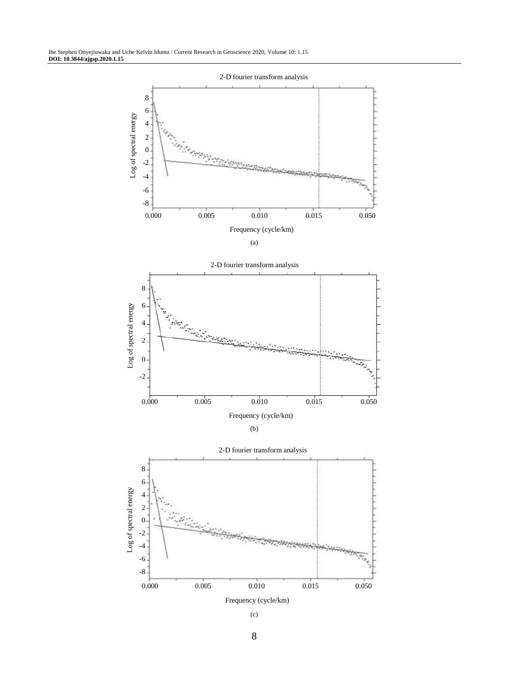

(c)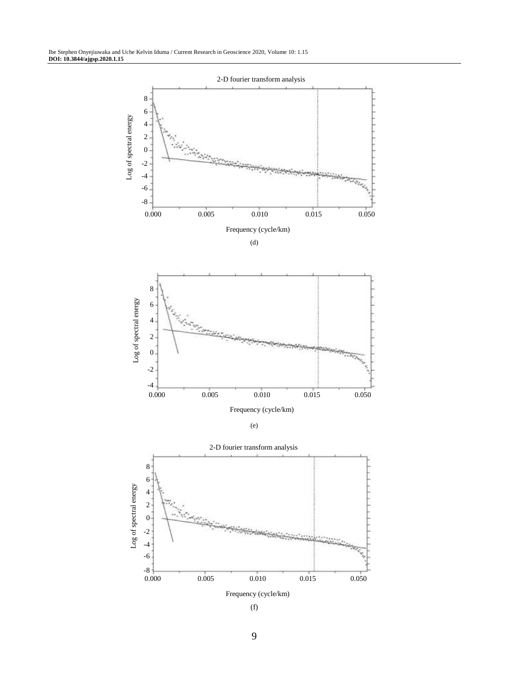

(f)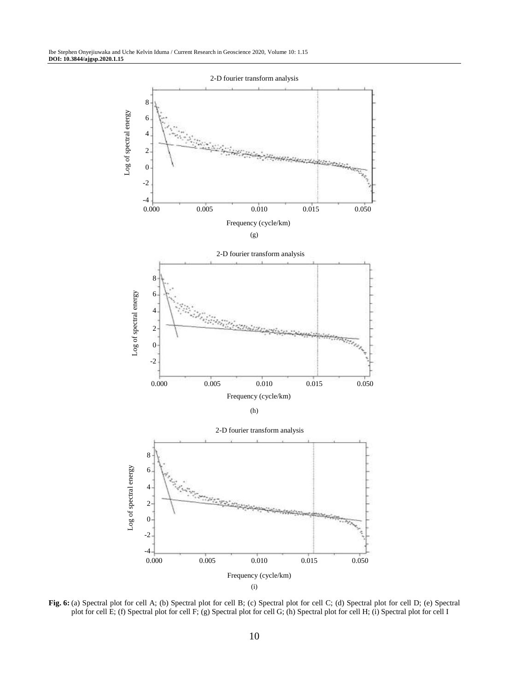

**Fig. 6:** (a) Spectral plot for cell A; (b) Spectral plot for cell B; (c) Spectral plot for cell C; (d) Spectral plot for cell D; (e) Spectral plot for cell E; (f) Spectral plot for cell F; (g) Spectral plot for cell G; (h) Spectral plot for cell H; (i) Spectral plot for cell I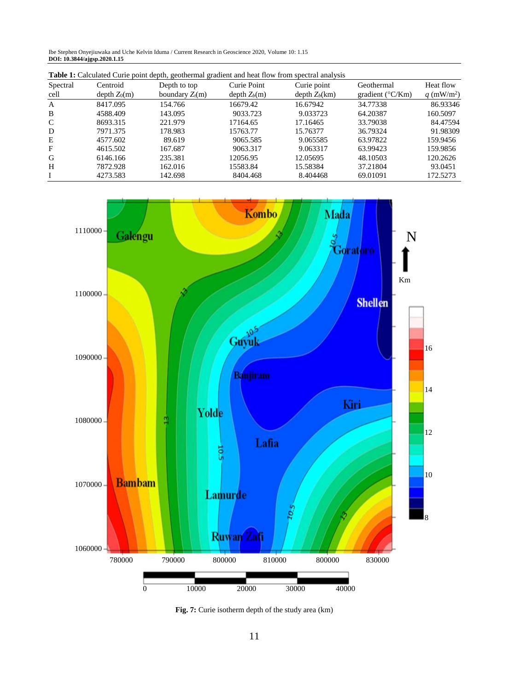Ibe Stephen Onyejiuwaka and Uche Kelvin Iduma / Current Research in Geoscience 2020, Volume 10: 1.15 **DOI: 10.3844/ajgsp.2020.1.15**

| <b>Table 1:</b> Calculated Curie point depth, geothermal gradient and heat flow from spectral analysis |                          |                   |                |                 |                                 |                        |
|--------------------------------------------------------------------------------------------------------|--------------------------|-------------------|----------------|-----------------|---------------------------------|------------------------|
| Spectral                                                                                               | Centroid                 | Depth to top      | Curie Point    | Curie point     | Geothermal                      | Heat flow              |
| cell                                                                                                   | depth Z <sub>0</sub> (m) | boundary $Z_t(m)$ | $depth Z_b(m)$ | $depth Z_b(km)$ | gradient ( $\rm ^{\circ}C/Km$ ) | q (mW/m <sup>2</sup> ) |
| A                                                                                                      | 8417.095                 | 154.766           | 16679.42       | 16.67942        | 34.77338                        | 86.93346               |
| B                                                                                                      | 4588.409                 | 143.095           | 9033.723       | 9.033723        | 64.20387                        | 160.5097               |
| C                                                                                                      | 8693.315                 | 221.979           | 17164.65       | 17.16465        | 33.79038                        | 84.47594               |
| D                                                                                                      | 7971.375                 | 178.983           | 15763.77       | 15.76377        | 36.79324                        | 91.98309               |
| Е                                                                                                      | 4577.602                 | 89.619            | 9065.585       | 9.065585        | 63.97822                        | 159.9456               |
| F                                                                                                      | 4615.502                 | 167.687           | 9063.317       | 9.063317        | 63.99423                        | 159.9856               |
| G                                                                                                      | 6146.166                 | 235.381           | 12056.95       | 12.05695        | 48.10503                        | 120.2626               |
| H                                                                                                      | 7872.928                 | 162.016           | 15583.84       | 15.58384        | 37.21804                        | 93.0451                |
|                                                                                                        | 4273.583                 | 142.698           | 8404.468       | 8.404468        | 69.01091                        | 172.5273               |



**Fig. 7:** Curie isotherm depth of the study area (km)

0 10000 20000 30000 40000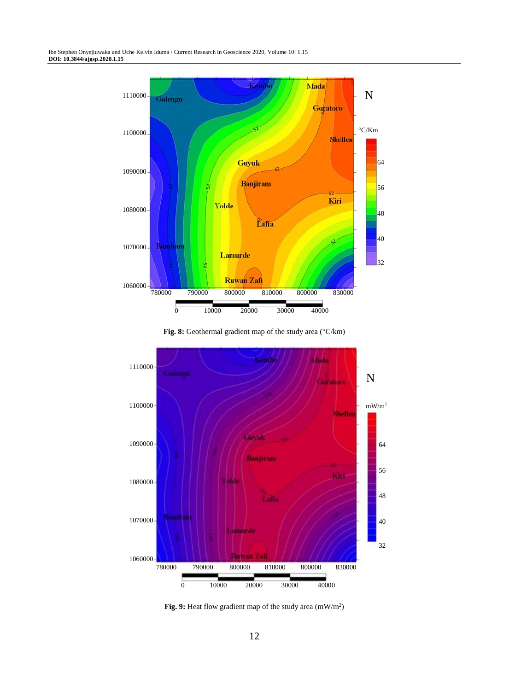





Fig. 9: Heat flow gradient map of the study area (mW/m<sup>2</sup>)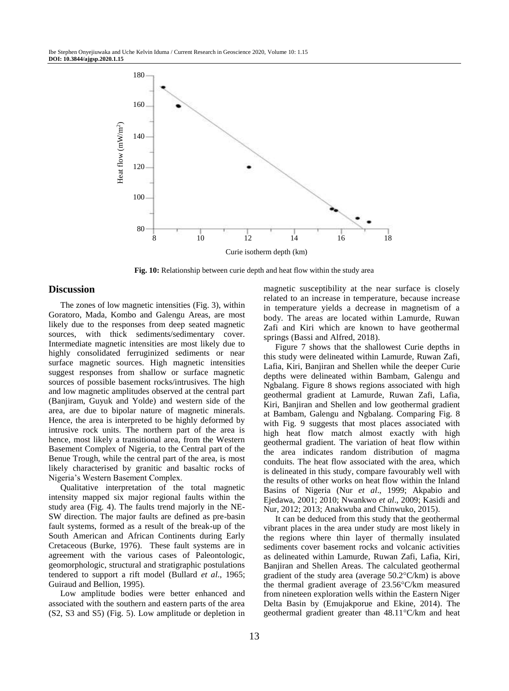

**Fig. 10:** Relationship between curie depth and heat flow within the study area

## **Discussion**

The zones of low magnetic intensities (Fig. 3), within Goratoro, Mada, Kombo and Galengu Areas, are most likely due to the responses from deep seated magnetic sources, with thick sediments/sedimentary cover. Intermediate magnetic intensities are most likely due to highly consolidated ferruginized sediments or near surface magnetic sources. High magnetic intensities suggest responses from shallow or surface magnetic sources of possible basement rocks/intrusives. The high and low magnetic amplitudes observed at the central part (Banjiram, Guyuk and Yolde) and western side of the area, are due to bipolar nature of magnetic minerals. Hence, the area is interpreted to be highly deformed by intrusive rock units. The northern part of the area is hence, most likely a transitional area, from the Western Basement Complex of Nigeria, to the Central part of the Benue Trough, while the central part of the area, is most likely characterised by granitic and basaltic rocks of Nigeria's Western Basement Complex.

Qualitative interpretation of the total magnetic intensity mapped six major regional faults within the study area (Fig. 4). The faults trend majorly in the NE-SW direction. The major faults are defined as pre-basin fault systems, formed as a result of the break-up of the South American and African Continents during Early Cretaceous (Burke, 1976). These fault systems are in agreement with the various cases of Paleontologic, geomorphologic, structural and stratigraphic postulations tendered to support a rift model (Bullard *et al*., 1965; Guiraud and Bellion, 1995).

Low amplitude bodies were better enhanced and associated with the southern and eastern parts of the area (S2, S3 and S5) (Fig. 5). Low amplitude or depletion in magnetic susceptibility at the near surface is closely related to an increase in temperature, because increase in temperature yields a decrease in magnetism of a body. The areas are located within Lamurde, Ruwan Zafi and Kiri which are known to have geothermal springs (Bassi and Alfred, 2018).

Figure 7 shows that the shallowest Curie depths in this study were delineated within Lamurde, Ruwan Zafi, Lafia, Kiri, Banjiran and Shellen while the deeper Curie depths were delineated within Bambam, Galengu and Ngbalang. Figure 8 shows regions associated with high geothermal gradient at Lamurde, Ruwan Zafi, Lafia, Kiri, Banjiran and Shellen and low geothermal gradient at Bambam, Galengu and Ngbalang. Comparing Fig. 8 with Fig. 9 suggests that most places associated with high heat flow match almost exactly with high geothermal gradient. The variation of heat flow within the area indicates random distribution of magma conduits. The heat flow associated with the area, which is delineated in this study, compare favourably well with the results of other works on heat flow within the Inland Basins of Nigeria (Nur *et al*., 1999; Akpabio and Ejedawa, 2001; 2010; Nwankwo *et al*., 2009; Kasidi and Nur, 2012; 2013; Anakwuba and Chinwuko, 2015).

It can be deduced from this study that the geothermal vibrant places in the area under study are most likely in the regions where thin layer of thermally insulated sediments cover basement rocks and volcanic activities as delineated within Lamurde, Ruwan Zafi, Lafia, Kiri, Banjiran and Shellen Areas. The calculated geothermal gradient of the study area (average  $50.2^{\circ}$ C/km) is above the thermal gradient average of  $23.56^{\circ}$ C/km measured from nineteen exploration wells within the Eastern Niger Delta Basin by (Emujakporue and Ekine, 2014). The geothermal gradient greater than  $48.11^{\circ}$ C/km and heat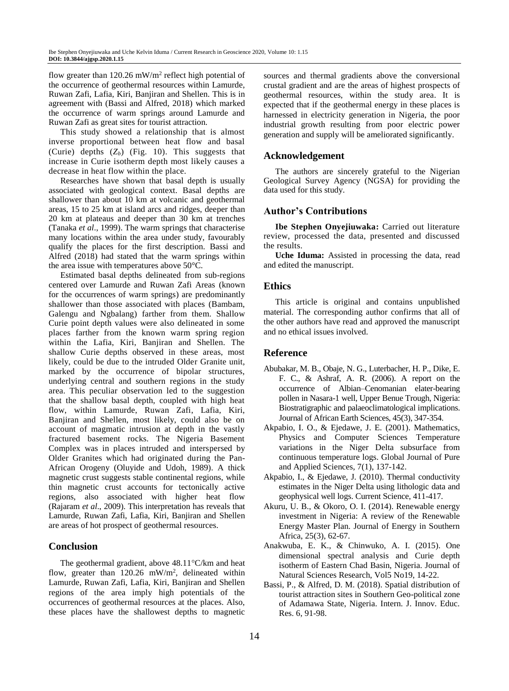flow greater than  $120.26$  mW/m<sup>2</sup> reflect high potential of the occurrence of geothermal resources within Lamurde, Ruwan Zafi, Lafia, Kiri, Banjiran and Shellen. This is in agreement with (Bassi and Alfred, 2018) which marked the occurrence of warm springs around Lamurde and Ruwan Zafi as great sites for tourist attraction.

This study showed a relationship that is almost inverse proportional between heat flow and basal (Curie) depths (*Zb*) (Fig. 10). This suggests that increase in Curie isotherm depth most likely causes a decrease in heat flow within the place.

Researches have shown that basal depth is usually associated with geological context. Basal depths are shallower than about 10 km at volcanic and geothermal areas, 15 to 25 km at island arcs and ridges, deeper than 20 km at plateaus and deeper than 30 km at trenches (Tanaka *et al*., 1999). The warm springs that characterise many locations within the area under study, favourably qualify the places for the first description. Bassi and Alfred (2018) had stated that the warm springs within the area issue with temperatures above 50°C.

Estimated basal depths delineated from sub-regions centered over Lamurde and Ruwan Zafi Areas (known for the occurrences of warm springs) are predominantly shallower than those associated with places (Bambam, Galengu and Ngbalang) farther from them. Shallow Curie point depth values were also delineated in some places farther from the known warm spring region within the Lafia, Kiri, Banjiran and Shellen. The shallow Curie depths observed in these areas, most likely, could be due to the intruded Older Granite unit, marked by the occurrence of bipolar structures, underlying central and southern regions in the study area. This peculiar observation led to the suggestion that the shallow basal depth, coupled with high heat flow, within Lamurde, Ruwan Zafi, Lafia, Kiri, Banjiran and Shellen, most likely, could also be on account of magmatic intrusion at depth in the vastly fractured basement rocks. The Nigeria Basement Complex was in places intruded and interspersed by Older Granites which had originated during the Pan-African Orogeny (Oluyide and Udoh, 1989). A thick magnetic crust suggests stable continental regions, while thin magnetic crust accounts for tectonically active regions, also associated with higher heat flow (Rajaram *et al*., 2009). This interpretation has reveals that Lamurde, Ruwan Zafi, Lafia, Kiri, Banjiran and Shellen are areas of hot prospect of geothermal resources.

# **Conclusion**

The geothermal gradient, above  $48.11^{\circ}$ C/km and heat flow, greater than  $120.26$  mW/m<sup>2</sup>, delineated within Lamurde, Ruwan Zafi, Lafia, Kiri, Banjiran and Shellen regions of the area imply high potentials of the occurrences of geothermal resources at the places. Also, these places have the shallowest depths to magnetic

sources and thermal gradients above the conversional crustal gradient and are the areas of highest prospects of geothermal resources, within the study area. It is expected that if the geothermal energy in these places is harnessed in electricity generation in Nigeria, the poor industrial growth resulting from poor electric power generation and supply will be ameliorated significantly.

# **Acknowledgement**

The authors are sincerely grateful to the Nigerian Geological Survey Agency (NGSA) for providing the data used for this study.

# **Author's Contributions**

**Ibe Stephen Onyejiuwaka:** Carried out literature review, processed the data, presented and discussed the results.

**Uche Iduma:** Assisted in processing the data, read and edited the manuscript.

### **Ethics**

This article is original and contains unpublished material. The corresponding author confirms that all of the other authors have read and approved the manuscript and no ethical issues involved.

# **Reference**

- Abubakar, M. B., Obaje, N. G., Luterbacher, H. P., Dike, E. F. C., & Ashraf, A. R. (2006). A report on the occurrence of Albian–Cenomanian elater-bearing pollen in Nasara-1 well, Upper Benue Trough, Nigeria: Biostratigraphic and palaeoclimatological implications. Journal of African Earth Sciences, 45(3), 347-354.
- Akpabio, I. O., & Ejedawe, J. E. (2001). Mathematics, Physics and Computer Sciences Temperature variations in the Niger Delta subsurface from continuous temperature logs. Global Journal of Pure and Applied Sciences, 7(1), 137-142.
- Akpabio, I., & Ejedawe, J. (2010). Thermal conductivity estimates in the Niger Delta using lithologic data and geophysical well logs. Current Science, 411-417.
- Akuru, U. B., & Okoro, O. I. (2014). Renewable energy investment in Nigeria: A review of the Renewable Energy Master Plan. Journal of Energy in Southern Africa, 25(3), 62-67.
- Anakwuba, E. K., & Chinwuko, A. I. (2015). One dimensional spectral analysis and Curie depth isotherm of Eastern Chad Basin, Nigeria. Journal of Natural Sciences Research, Vol5 No19, 14-22.
- Bassi, P., & Alfred, D. M. (2018). Spatial distribution of tourist attraction sites in Southern Geo-political zone of Adamawa State, Nigeria. Intern. J. Innov. Educ. Res. 6, 91-98.